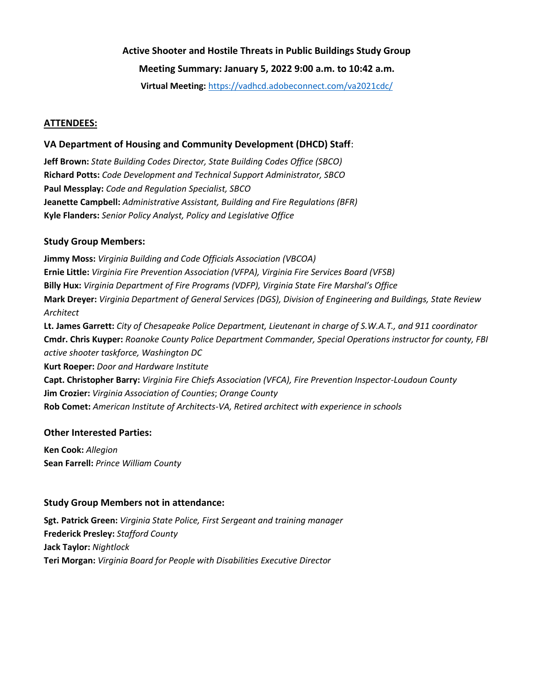# **Active Shooter and Hostile Threats in Public Buildings Study Group Meeting Summary: January 5, 2022 9:00 a.m. to 10:42 a.m.**

**Virtual Meeting:** <https://vadhcd.adobeconnect.com/va2021cdc/>

## **ATTENDEES:**

# **VA Department of Housing and Community Development (DHCD) Staff**:

**Jeff Brown:** *State Building Codes Director, State Building Codes Office (SBCO)* **Richard Potts:** *Code Development and Technical Support Administrator, SBCO* **Paul Messplay:** *Code and Regulation Specialist, SBCO* **Jeanette Campbell:** *Administrative Assistant, Building and Fire Regulations (BFR)* **Kyle Flanders:** *Senior Policy Analyst, Policy and Legislative Office*

## **Study Group Members:**

**Jimmy Moss:** *Virginia Building and Code Officials Association (VBCOA)* **Ernie Little:** *Virginia Fire Prevention Association (VFPA), Virginia Fire Services Board (VFSB)* **Billy Hux:** *Virginia Department of Fire Programs (VDFP), Virginia State Fire Marshal's Office* **Mark Dreyer:** *Virginia Department of General Services (DGS), Division of Engineering and Buildings, State Review Architect* **Lt. James Garrett:** *City of Chesapeake Police Department, Lieutenant in charge of S.W.A.T., and 911 coordinator*

**Cmdr. Chris Kuyper:** *Roanoke County Police Department Commander, Special Operations instructor for county, FBI active shooter taskforce, Washington DC* **Kurt Roeper:** *Door and Hardware Institute*

**Capt. Christopher Barry:** *Virginia Fire Chiefs Association (VFCA), Fire Prevention Inspector-Loudoun County* **Jim Crozier:** *Virginia Association of Counties*; *Orange County* **Rob Comet:** *American Institute of Architects-VA, Retired architect with experience in schools*

## **Other Interested Parties:**

**Ken Cook:** *Allegion* **Sean Farrell:** *Prince William County*

# **Study Group Members not in attendance:**

**Sgt. Patrick Green:** *Virginia State Police, First Sergeant and training manager* **Frederick Presley:** *Stafford County* **Jack Taylor:** *Nightlock* **Teri Morgan:** *Virginia Board for People with Disabilities Executive Director*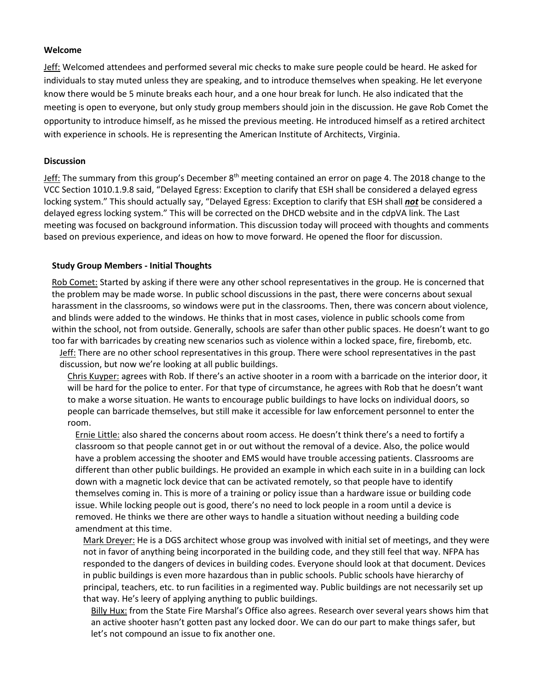#### **Welcome**

Jeff: Welcomed attendees and performed several mic checks to make sure people could be heard. He asked for individuals to stay muted unless they are speaking, and to introduce themselves when speaking. He let everyone know there would be 5 minute breaks each hour, and a one hour break for lunch. He also indicated that the meeting is open to everyone, but only study group members should join in the discussion. He gave Rob Comet the opportunity to introduce himself, as he missed the previous meeting. He introduced himself as a retired architect with experience in schools. He is representing the American Institute of Architects, Virginia.

#### **Discussion**

Jeff: The summary from this group's December 8<sup>th</sup> meeting contained an error on page 4. The 2018 change to the VCC Section 1010.1.9.8 said, "Delayed Egress: Exception to clarify that ESH shall be considered a delayed egress locking system." This should actually say, "Delayed Egress: Exception to clarify that ESH shall *not* be considered a delayed egress locking system." This will be corrected on the DHCD website and in the cdpVA link. The Last meeting was focused on background information. This discussion today will proceed with thoughts and comments based on previous experience, and ideas on how to move forward. He opened the floor for discussion.

#### **Study Group Members - Initial Thoughts**

Rob Comet: Started by asking if there were any other school representatives in the group. He is concerned that the problem may be made worse. In public school discussions in the past, there were concerns about sexual harassment in the classrooms, so windows were put in the classrooms. Then, there was concern about violence, and blinds were added to the windows. He thinks that in most cases, violence in public schools come from within the school, not from outside. Generally, schools are safer than other public spaces. He doesn't want to go too far with barricades by creating new scenarios such as violence within a locked space, fire, firebomb, etc.

Jeff: There are no other school representatives in this group. There were school representatives in the past discussion, but now we're looking at all public buildings.

Chris Kuyper: agrees with Rob. If there's an active shooter in a room with a barricade on the interior door, it will be hard for the police to enter. For that type of circumstance, he agrees with Rob that he doesn't want to make a worse situation. He wants to encourage public buildings to have locks on individual doors, so people can barricade themselves, but still make it accessible for law enforcement personnel to enter the room.

Ernie Little: also shared the concerns about room access. He doesn't think there's a need to fortify a classroom so that people cannot get in or out without the removal of a device. Also, the police would have a problem accessing the shooter and EMS would have trouble accessing patients. Classrooms are different than other public buildings. He provided an example in which each suite in in a building can lock down with a magnetic lock device that can be activated remotely, so that people have to identify themselves coming in. This is more of a training or policy issue than a hardware issue or building code issue. While locking people out is good, there's no need to lock people in a room until a device is removed. He thinks we there are other ways to handle a situation without needing a building code amendment at this time.

Mark Dreyer: He is a DGS architect whose group was involved with initial set of meetings, and they were not in favor of anything being incorporated in the building code, and they still feel that way. NFPA has responded to the dangers of devices in building codes. Everyone should look at that document. Devices in public buildings is even more hazardous than in public schools. Public schools have hierarchy of principal, teachers, etc. to run facilities in a regimented way. Public buildings are not necessarily set up that way. He's leery of applying anything to public buildings.

Billy Hux: from the State Fire Marshal's Office also agrees. Research over several years shows him that an active shooter hasn't gotten past any locked door. We can do our part to make things safer, but let's not compound an issue to fix another one.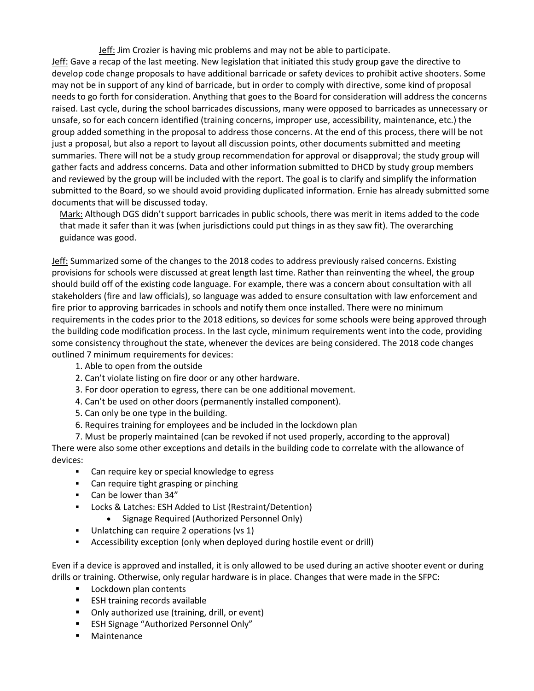Jeff: Jim Crozier is having mic problems and may not be able to participate.

Jeff: Gave a recap of the last meeting. New legislation that initiated this study group gave the directive to develop code change proposals to have additional barricade or safety devices to prohibit active shooters. Some may not be in support of any kind of barricade, but in order to comply with directive, some kind of proposal needs to go forth for consideration. Anything that goes to the Board for consideration will address the concerns raised. Last cycle, during the school barricades discussions, many were opposed to barricades as unnecessary or unsafe, so for each concern identified (training concerns, improper use, accessibility, maintenance, etc.) the group added something in the proposal to address those concerns. At the end of this process, there will be not just a proposal, but also a report to layout all discussion points, other documents submitted and meeting summaries. There will not be a study group recommendation for approval or disapproval; the study group will gather facts and address concerns. Data and other information submitted to DHCD by study group members and reviewed by the group will be included with the report. The goal is to clarify and simplify the information submitted to the Board, so we should avoid providing duplicated information. Ernie has already submitted some documents that will be discussed today.

Mark: Although DGS didn't support barricades in public schools, there was merit in items added to the code that made it safer than it was (when jurisdictions could put things in as they saw fit). The overarching guidance was good.

Jeff: Summarized some of the changes to the 2018 codes to address previously raised concerns. Existing provisions for schools were discussed at great length last time. Rather than reinventing the wheel, the group should build off of the existing code language. For example, there was a concern about consultation with all stakeholders (fire and law officials), so language was added to ensure consultation with law enforcement and fire prior to approving barricades in schools and notify them once installed. There were no minimum requirements in the codes prior to the 2018 editions, so devices for some schools were being approved through the building code modification process. In the last cycle, minimum requirements went into the code, providing some consistency throughout the state, whenever the devices are being considered. The 2018 code changes outlined 7 minimum requirements for devices:

- 1. Able to open from the outside
- 2. Can't violate listing on fire door or any other hardware.
- 3. For door operation to egress, there can be one additional movement.
- 4. Can't be used on other doors (permanently installed component).
- 5. Can only be one type in the building.
- 6. Requires training for employees and be included in the lockdown plan

7. Must be properly maintained (can be revoked if not used properly, according to the approval) There were also some other exceptions and details in the building code to correlate with the allowance of devices:

- Can require key or special knowledge to egress
- Can require tight grasping or pinching
- Can be lower than 34"
- Locks & Latches: ESH Added to List (Restraint/Detention)
	- Signage Required (Authorized Personnel Only)
- Unlatching can require 2 operations (vs 1)
- Accessibility exception (only when deployed during hostile event or drill)

Even if a device is approved and installed, it is only allowed to be used during an active shooter event or during drills or training. Otherwise, only regular hardware is in place. Changes that were made in the SFPC:

- **Lockdown plan contents**
- **ESH training records available**
- Only authorized use (training, drill, or event)
- ESH Signage "Authorized Personnel Only"
- Maintenance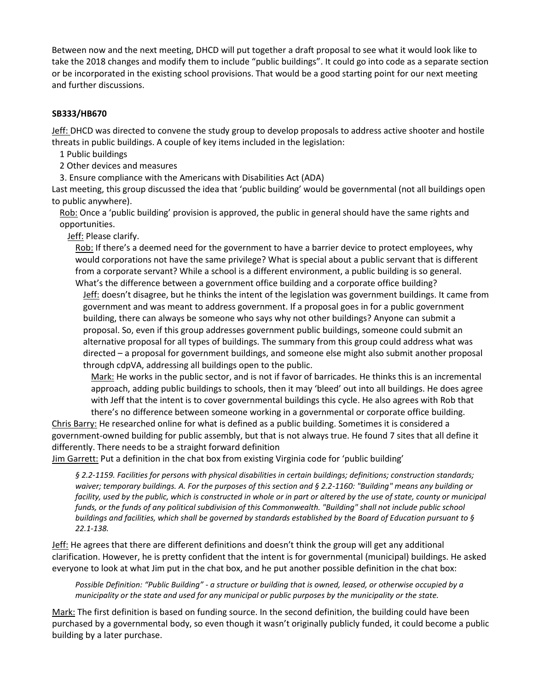Between now and the next meeting, DHCD will put together a draft proposal to see what it would look like to take the 2018 changes and modify them to include "public buildings". It could go into code as a separate section or be incorporated in the existing school provisions. That would be a good starting point for our next meeting and further discussions.

#### **SB333/HB670**

Jeff: DHCD was directed to convene the study group to develop proposals to address active shooter and hostile threats in public buildings. A couple of key items included in the legislation:

1 Public buildings

2 Other devices and measures

3. Ensure compliance with the Americans with Disabilities Act (ADA)

Last meeting, this group discussed the idea that 'public building' would be governmental (not all buildings open to public anywhere).

Rob: Once a 'public building' provision is approved, the public in general should have the same rights and opportunities.

Jeff: Please clarify.

Rob: If there's a deemed need for the government to have a barrier device to protect employees, why would corporations not have the same privilege? What is special about a public servant that is different from a corporate servant? While a school is a different environment, a public building is so general. What's the difference between a government office building and a corporate office building?

Jeff: doesn't disagree, but he thinks the intent of the legislation was government buildings. It came from government and was meant to address government. If a proposal goes in for a public government building, there can always be someone who says why not other buildings? Anyone can submit a proposal. So, even if this group addresses government public buildings, someone could submit an alternative proposal for all types of buildings. The summary from this group could address what was directed – a proposal for government buildings, and someone else might also submit another proposal through cdpVA, addressing all buildings open to the public.

Mark: He works in the public sector, and is not if favor of barricades. He thinks this is an incremental approach, adding public buildings to schools, then it may 'bleed' out into all buildings. He does agree with Jeff that the intent is to cover governmental buildings this cycle. He also agrees with Rob that there's no difference between someone working in a governmental or corporate office building.

Chris Barry: He researched online for what is defined as a public building. Sometimes it is considered a government-owned building for public assembly, but that is not always true. He found 7 sites that all define it differently. There needs to be a straight forward definition

Jim Garrett: Put a definition in the chat box from existing Virginia code for 'public building'

*§ 2.2-1159. Facilities for persons with physical disabilities in certain buildings; definitions; construction standards; waiver; temporary buildings. A. For the purposes of this section and § 2.2-1160: "Building" means any building or*  facility, used by the public, which is constructed in whole or in part or altered by the use of state, county or municipal *funds, or the funds of any political subdivision of this Commonwealth. "Building" shall not include public school buildings and facilities, which shall be governed by standards established by the Board of Education pursuant to § 22.1-138.*

Jeff: He agrees that there are different definitions and doesn't think the group will get any additional clarification. However, he is pretty confident that the intent is for governmental (municipal) buildings. He asked everyone to look at what Jim put in the chat box, and he put another possible definition in the chat box:

*Possible Definition: "Public Building" - a structure or building that is owned, leased, or otherwise occupied by a municipality or the state and used for any municipal or public purposes by the municipality or the state.*

Mark: The first definition is based on funding source. In the second definition, the building could have been purchased by a governmental body, so even though it wasn't originally publicly funded, it could become a public building by a later purchase.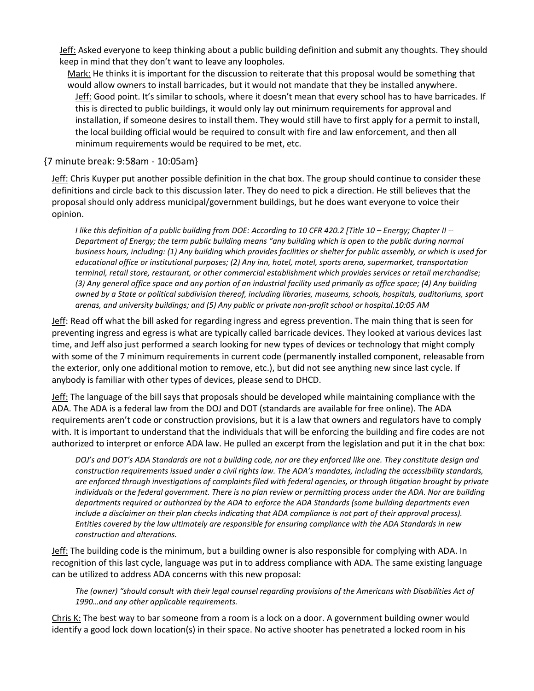Jeff: Asked everyone to keep thinking about a public building definition and submit any thoughts. They should keep in mind that they don't want to leave any loopholes.

Mark: He thinks it is important for the discussion to reiterate that this proposal would be something that would allow owners to install barricades, but it would not mandate that they be installed anywhere. Jeff: Good point. It's similar to schools, where it doesn't mean that every school has to have barricades. If this is directed to public buildings, it would only lay out minimum requirements for approval and installation, if someone desires to install them. They would still have to first apply for a permit to install, the local building official would be required to consult with fire and law enforcement, and then all minimum requirements would be required to be met, etc.

# {7 minute break: 9:58am - 10:05am}

Jeff: Chris Kuyper put another possible definition in the chat box. The group should continue to consider these definitions and circle back to this discussion later. They do need to pick a direction. He still believes that the proposal should only address municipal/government buildings, but he does want everyone to voice their opinion.

*I like this definition of a public building from DOE: According to 10 CFR 420.2 [Title 10 – Energy; Chapter II -- Department of Energy; the term public building means "any building which is open to the public during normal business hours, including: (1) Any building which provides facilities or shelter for public assembly, or which is used for educational office or institutional purposes; (2) Any inn, hotel, motel, sports arena, supermarket, transportation terminal, retail store, restaurant, or other commercial establishment which provides services or retail merchandise; (3) Any general office space and any portion of an industrial facility used primarily as office space; (4) Any building owned by a State or political subdivision thereof, including libraries, museums, schools, hospitals, auditoriums, sport arenas, and university buildings; and (5) Any public or private non-profit school or hospital.10:05 AM*

Jeff: Read off what the bill asked for regarding ingress and egress prevention. The main thing that is seen for preventing ingress and egress is what are typically called barricade devices. They looked at various devices last time, and Jeff also just performed a search looking for new types of devices or technology that might comply with some of the 7 minimum requirements in current code (permanently installed component, releasable from the exterior, only one additional motion to remove, etc.), but did not see anything new since last cycle. If anybody is familiar with other types of devices, please send to DHCD.

Jeff: The language of the bill says that proposals should be developed while maintaining compliance with the ADA. The ADA is a federal law from the DOJ and DOT (standards are available for free online). The ADA requirements aren't code or construction provisions, but it is a law that owners and regulators have to comply with. It is important to understand that the individuals that will be enforcing the building and fire codes are not authorized to interpret or enforce ADA law. He pulled an excerpt from the legislation and put it in the chat box:

*DOJ's and DOT's ADA Standards are not a building code, nor are they enforced like one. They constitute design and construction requirements issued under a civil rights law. The ADA's mandates, including the accessibility standards, are enforced through investigations of complaints filed with federal agencies, or through litigation brought by private individuals or the federal government. There is no plan review or permitting process under the ADA. Nor are building departments required or authorized by the ADA to enforce the ADA Standards (some building departments even include a disclaimer on their plan checks indicating that ADA compliance is not part of their approval process). Entities covered by the law ultimately are responsible for ensuring compliance with the ADA Standards in new construction and alterations.*

Jeff: The building code is the minimum, but a building owner is also responsible for complying with ADA. In recognition of this last cycle, language was put in to address compliance with ADA. The same existing language can be utilized to address ADA concerns with this new proposal:

*The (owner) "should consult with their legal counsel regarding provisions of the Americans with Disabilities Act of 1990…and any other applicable requirements.*

Chris K: The best way to bar someone from a room is a lock on a door. A government building owner would identify a good lock down location(s) in their space. No active shooter has penetrated a locked room in his